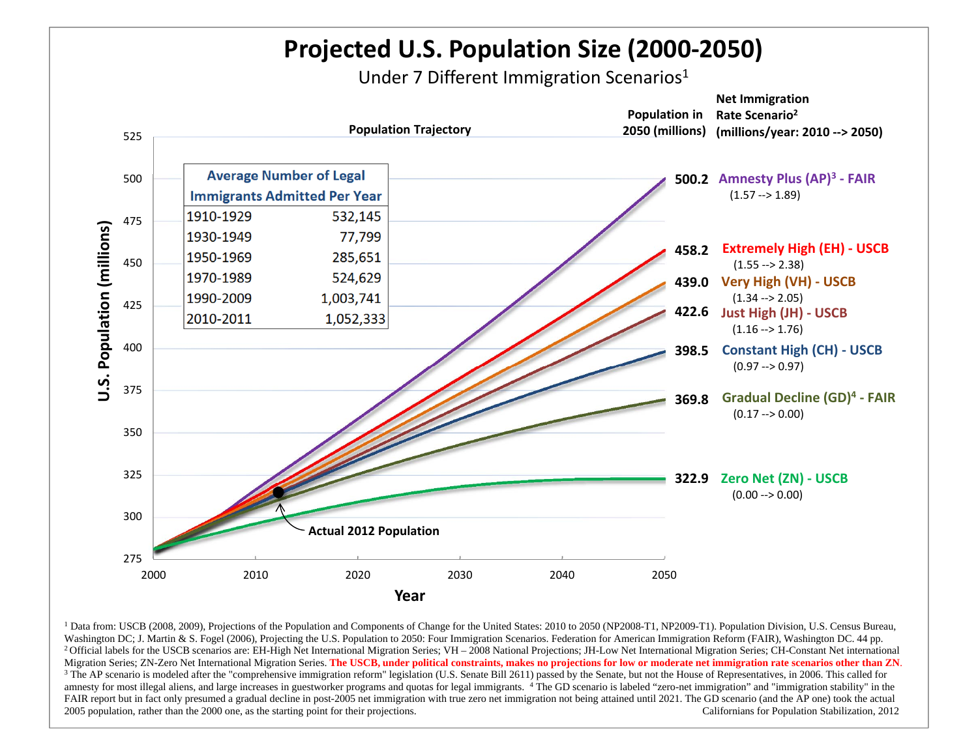

<sup>1</sup> Data from: USCB (2008, 2009), Projections of the Population and Components of Change for the United States: 2010 to 2050 (NP2008-T1, NP2009-T1). Population Division, U.S. Census Bureau, Washington DC; J. Martin & S. Fogel (2006), Projecting the U.S. Population to 2050: Four Immigration Scenarios. Federation for American Immigration Reform (FAIR), Washington DC. 44 pp. <sup>2</sup> Official labels for the USCB scenarios are: EH-High Net International Migration Series; VH – 2008 National Projections; JH-Low Net International Migration Series; CH-Constant Net international Migration Series; ZN-Zero Net International Migration Series. **The USCB, under political constraints, makes no projections for low or moderate net immigration rate scenarios other than ZN**.  $3$  The AP scenario is modeled after the "comprehensive immigration reform" legislation (U.S. Senate Bill 2611) passed by the Senate, but not the House of Representatives, in 2006. This called for amnesty for most illegal aliens, and large increases in guestworker programs and quotas for legal immigrants. 4 The GD scenario is labeled "zero-net immigration" and "immigration stability" in the FAIR report but in fact only presumed a gradual decline in post-2005 net immigration with true zero net immigration not being attained until 2021. The GD scenario (and the AP one) took the actual 2005 population, rather than the 2000 one, as the starting point for their projections. Californians for Population Stabilization, 2012